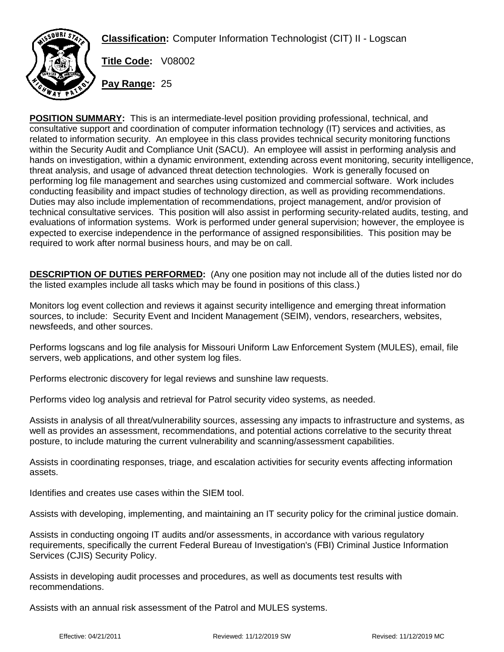**Classification:** Computer Information Technologist (CIT) II - Logscan



**Title Code:** V08002

**Pay Range:** 25

**POSITION SUMMARY:** This is an intermediate-level position providing professional, technical, and consultative support and coordination of computer information technology (IT) services and activities, as related to information security. An employee in this class provides technical security monitoring functions within the Security Audit and Compliance Unit (SACU). An employee will assist in performing analysis and hands on investigation, within a dynamic environment, extending across event monitoring, security intelligence, threat analysis, and usage of advanced threat detection technologies. Work is generally focused on performing log file management and searches using customized and commercial software. Work includes conducting feasibility and impact studies of technology direction, as well as providing recommendations. Duties may also include implementation of recommendations, project management, and/or provision of technical consultative services. This position will also assist in performing security-related audits, testing, and evaluations of information systems. Work is performed under general supervision; however, the employee is expected to exercise independence in the performance of assigned responsibilities. This position may be required to work after normal business hours, and may be on call.

**DESCRIPTION OF DUTIES PERFORMED:** (Any one position may not include all of the duties listed nor do the listed examples include all tasks which may be found in positions of this class.)

Monitors log event collection and reviews it against security intelligence and emerging threat information sources, to include: Security Event and Incident Management (SEIM), vendors, researchers, websites, newsfeeds, and other sources.

Performs logscans and log file analysis for Missouri Uniform Law Enforcement System (MULES), email, file servers, web applications, and other system log files.

Performs electronic discovery for legal reviews and sunshine law requests.

Performs video log analysis and retrieval for Patrol security video systems, as needed.

Assists in analysis of all threat/vulnerability sources, assessing any impacts to infrastructure and systems, as well as provides an assessment, recommendations, and potential actions correlative to the security threat posture, to include maturing the current vulnerability and scanning/assessment capabilities.

Assists in coordinating responses, triage, and escalation activities for security events affecting information assets.

Identifies and creates use cases within the SIEM tool.

Assists with developing, implementing, and maintaining an IT security policy for the criminal justice domain.

Assists in conducting ongoing IT audits and/or assessments, in accordance with various regulatory requirements, specifically the current Federal Bureau of Investigation's (FBI) Criminal Justice Information Services (CJIS) Security Policy.

Assists in developing audit processes and procedures, as well as documents test results with recommendations.

Assists with an annual risk assessment of the Patrol and MULES systems.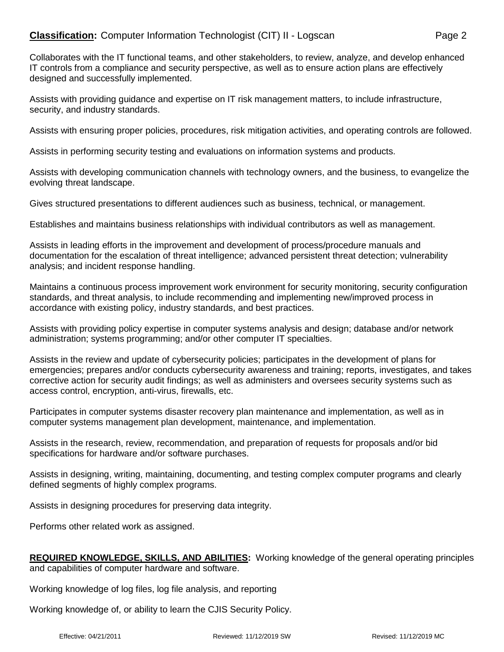## **Classification:** Computer Information Technologist (CIT) II - Logscan Page 2

Collaborates with the IT functional teams, and other stakeholders, to review, analyze, and develop enhanced IT controls from a compliance and security perspective, as well as to ensure action plans are effectively designed and successfully implemented.

Assists with providing guidance and expertise on IT risk management matters, to include infrastructure, security, and industry standards.

Assists with ensuring proper policies, procedures, risk mitigation activities, and operating controls are followed.

Assists in performing security testing and evaluations on information systems and products.

Assists with developing communication channels with technology owners, and the business, to evangelize the evolving threat landscape.

Gives structured presentations to different audiences such as business, technical, or management.

Establishes and maintains business relationships with individual contributors as well as management.

Assists in leading efforts in the improvement and development of process/procedure manuals and documentation for the escalation of threat intelligence; advanced persistent threat detection; vulnerability analysis; and incident response handling.

Maintains a continuous process improvement work environment for security monitoring, security configuration standards, and threat analysis, to include recommending and implementing new/improved process in accordance with existing policy, industry standards, and best practices.

Assists with providing policy expertise in computer systems analysis and design; database and/or network administration; systems programming; and/or other computer IT specialties.

Assists in the review and update of cybersecurity policies; participates in the development of plans for emergencies; prepares and/or conducts cybersecurity awareness and training; reports, investigates, and takes corrective action for security audit findings; as well as administers and oversees security systems such as access control, encryption, anti-virus, firewalls, etc.

Participates in computer systems disaster recovery plan maintenance and implementation, as well as in computer systems management plan development, maintenance, and implementation.

Assists in the research, review, recommendation, and preparation of requests for proposals and/or bid specifications for hardware and/or software purchases.

Assists in designing, writing, maintaining, documenting, and testing complex computer programs and clearly defined segments of highly complex programs.

Assists in designing procedures for preserving data integrity.

Performs other related work as assigned.

## **REQUIRED KNOWLEDGE, SKILLS, AND ABILITIES:** Working knowledge of the general operating principles and capabilities of computer hardware and software.

Working knowledge of log files, log file analysis, and reporting

Working knowledge of, or ability to learn the CJIS Security Policy.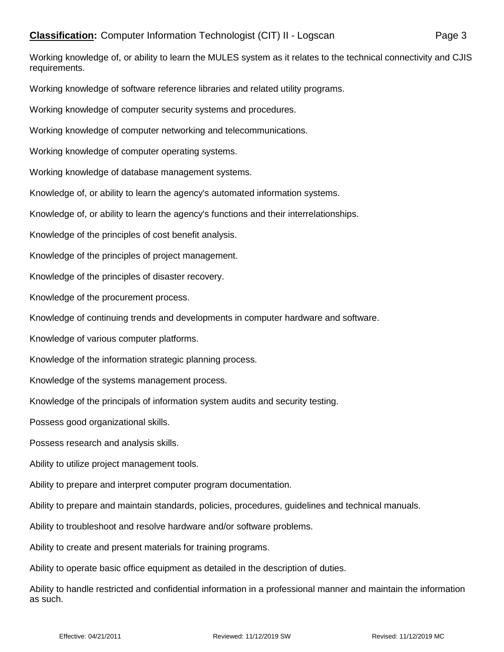Working knowledge of, or ability to learn the MULES system as it relates to the technical connectivity and CJIS requirements.

Working knowledge of software reference libraries and related utility programs.

Working knowledge of computer security systems and procedures.

Working knowledge of computer networking and telecommunications.

Working knowledge of computer operating systems.

Working knowledge of database management systems.

Knowledge of, or ability to learn the agency's automated information systems.

Knowledge of, or ability to learn the agency's functions and their interrelationships.

Knowledge of the principles of cost benefit analysis.

Knowledge of the principles of project management.

Knowledge of the principles of disaster recovery.

Knowledge of the procurement process.

Knowledge of continuing trends and developments in computer hardware and software.

Knowledge of various computer platforms.

Knowledge of the information strategic planning process.

Knowledge of the systems management process.

Knowledge of the principals of information system audits and security testing.

Possess good organizational skills.

Possess research and analysis skills.

Ability to utilize project management tools.

Ability to prepare and interpret computer program documentation.

Ability to prepare and maintain standards, policies, procedures, guidelines and technical manuals.

Ability to troubleshoot and resolve hardware and/or software problems.

Ability to create and present materials for training programs.

Ability to operate basic office equipment as detailed in the description of duties.

Ability to handle restricted and confidential information in a professional manner and maintain the information as such.